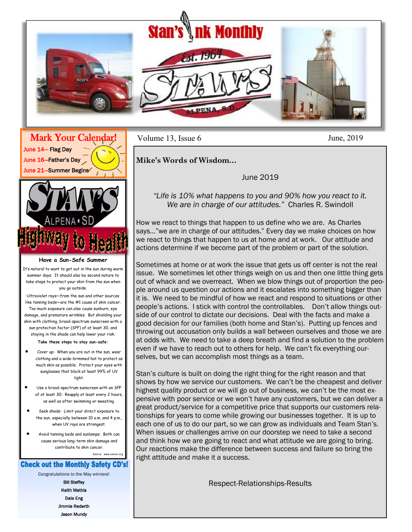



**Have a Sun-Safe Summer**

It's natural to want to get out in the sun during warm summer days. It should also be second nature to take steps to protect your skin from the sun when you go outside.

Ultraviolet rays—from the sun and other sources like tanning beds—are the #1 cause of skin cancer. Too much exposure can also cause sunburn, eye damage, and premature wrinkles. But shielding your skin with clothing, broad-spectrum sunscreen with a sun protection factor (SPF) of at least 30, and staying in the shade can help lower your risk.

**Take these steps to stay sun-safe:**

- Cover up: When you are out in the sun, wear clothing and a wide-brimmed hat to protect as much skin as possible. Protect your eyes with sunglasses that block at least 99% of UV light.
- Use a broad-spectrum sunscreen with an SPF of at least 30: Reapply at least every 2 hours, as well as after swimming or sweating.
- Seek shade: Limit your direct exposure to the sun, especially between 10 a.m. and 4 p.m., when UV rays are strongest.
- Avoid tanning beds and sunlamps: Both can cause serious long-term skin damage and contribute to skin cancer.

## **Check out the Monthly Safety CD's!**

Source: www.cancer.org

Congratulations to the May winners!

Bill Steffey Keith Mathis Dale Eng Jimmie Rederth Jason Mundy

Volume 13, Issue 6

June, 2019

**Mike's Words of Wisdom…** 

June 2019

## *"Life is 10% what happens to you and 90% how you react to it. We are in charge of our attitudes."* Charles R. Swindoll

How we react to things that happen to us define who we are. As Charles says…"we are in charge of our attitudes." Every day we make choices on how we react to things that happen to us at home and at work. Our attitude and actions determine if we become part of the problem or part of the solution.

Sometimes at home or at work the issue that gets us off center is not the real issue. We sometimes let other things weigh on us and then one little thing gets out of whack and we overreact. When we blow things out of proportion the people around us question our actions and it escalates into something bigger than it is. We need to be mindful of how we react and respond to situations or other people's actions. I stick with control the controllables. Don't allow things outside of our control to dictate our decisions. Deal with the facts and make a good decision for our families (both home and Stan's). Putting up fences and throwing out accusation only builds a wall between ourselves and those we are at odds with. We need to take a deep breath and find a solution to the problem even if we have to reach out to others for help. We can't fix everything ourselves, but we can accomplish most things as a team.

Stan's culture is built on doing the right thing for the right reason and that shows by how we service our customers. We can't be the cheapest and deliver highest quality product or we will go out of business, we can't be the most expensive with poor service or we won't have any customers, but we can deliver a great product/service for a competitive price that supports our customers relationships for years to come while growing our businesses together. It is up to each one of us to do our part, so we can grow as individuals and Team Stan's. When issues or challenges arrive on our doorstep we need to take a second and think how we are going to react and what attitude we are going to bring. Our reactions make the difference between success and failure so bring the right attitude and make it a success.

Respect-Relationships-Results